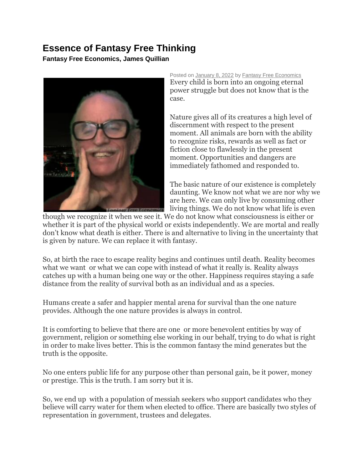## **Essence of Fantasy Free Thinking**

**Fantasy Free Economics, James Quillian**



Posted on [January 8, 2022](http://quillian.net/blog/essence-of-fantasy-free-thinking/) by [Fantasy Free Economics](http://quillian.net/blog/author/james-quillian/) Every child is born into an ongoing eternal power struggle but does not know that is the case.

Nature gives all of its creatures a high level of discernment with respect to the present moment. All animals are born with the ability to recognize risks, rewards as well as fact or fiction close to flawlessly in the present moment. Opportunities and dangers are immediately fathomed and responded to.

The basic nature of our existence is completely daunting. We know not what we are nor why we are here. We can only live by consuming other living things. We do not know what life is even

though we recognize it when we see it. We do not know what consciousness is either or whether it is part of the physical world or exists independently. We are mortal and really don't know what death is either. There is and alternative to living in the uncertainty that is given by nature. We can replace it with fantasy.

So, at birth the race to escape reality begins and continues until death. Reality becomes what we want or what we can cope with instead of what it really is. Reality always catches up with a human being one way or the other. Happiness requires staying a safe distance from the reality of survival both as an individual and as a species.

Humans create a safer and happier mental arena for survival than the one nature provides. Although the one nature provides is always in control.

It is comforting to believe that there are one or more benevolent entities by way of government, religion or something else working in our behalf, trying to do what is right in order to make lives better. This is the common fantasy the mind generates but the truth is the opposite.

No one enters public life for any purpose other than personal gain, be it power, money or prestige. This is the truth. I am sorry but it is.

So, we end up with a population of messiah seekers who support candidates who they believe will carry water for them when elected to office. There are basically two styles of representation in government, trustees and delegates.